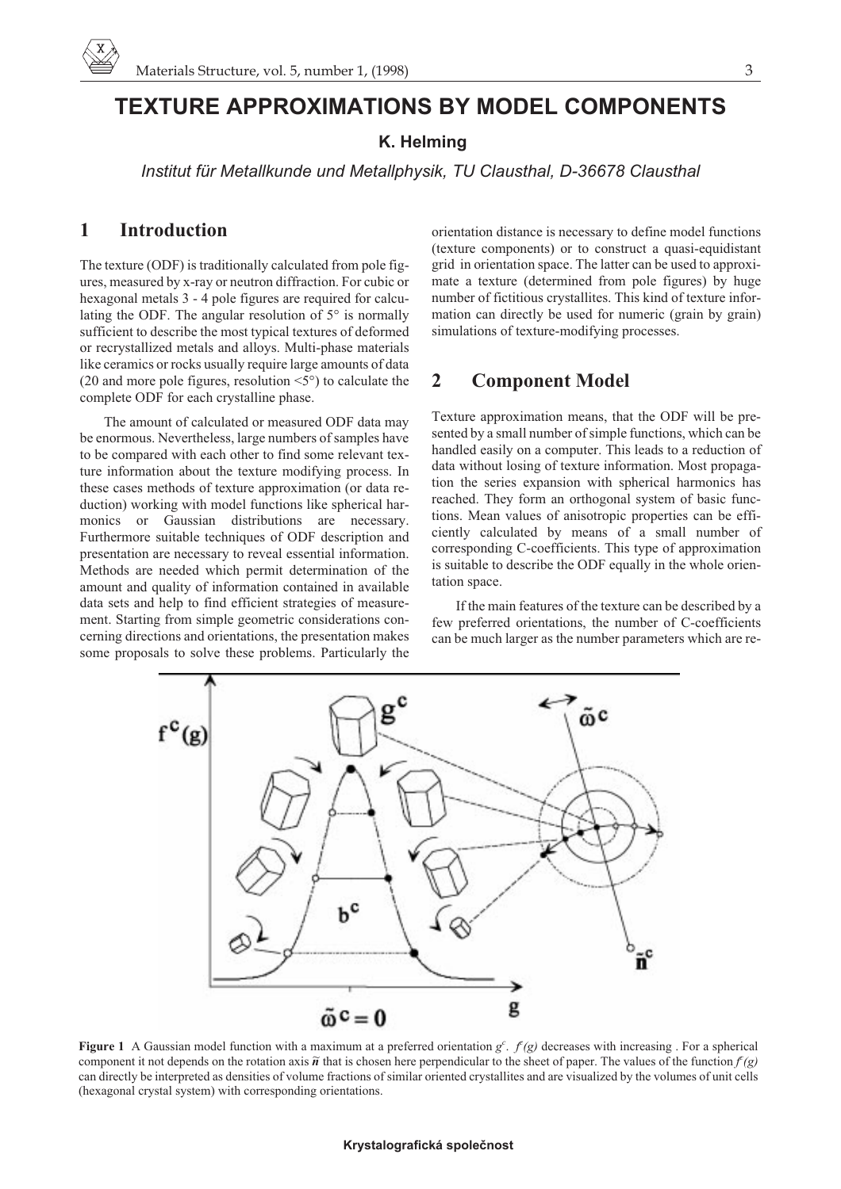# **TEXTURE APPROXIMATIONS BY MODEL COMPONENTS**

### **K. Helming**

*Institut für Metallkunde und Metallphysik, TU Clausthal, D-36678 Clausthal*

# **1 Introduction**

The texture (ODF) is traditionally calculated from pole figures, measured by x-ray or neutron diffraction. For cubic or hexagonal metals 3 - 4 pole figures are required for calculating the ODF. The angular resolution of 5° is normally sufficient to describe the most typical textures of deformed or recrystallized metals and alloys. Multi-phase materials like ceramics or rocks usually require large amounts of data (20 and more pole figures, resolution <5°) to calculate the complete ODF for each crystalline phase.

The amount of calculated or measured ODF data may be enormous. Nevertheless, large numbers of samples have to be compared with each other to find some relevant texture information about the texture modifying process. In these cases methods of texture approximation (or data reduction) working with model functions like spherical harmonics or Gaussian distributions are necessary. Furthermore suitable techniques of ODF description and presentation are necessary to reveal essential information. Methods are needed which permit determination of the amount and quality of information contained in available data sets and help to find efficient strategies of measurement. Starting from simple geometric considerations concerning directions and orientations, the presentation makes some proposals to solve these problems. Particularly the

orientation distance is necessary to define model functions (texture components) or to construct a quasi-equidistant grid in orientation space. The latter can be used to approximate a texture (determined from pole figures) by huge number of fictitious crystallites. This kind of texture information can directly be used for numeric (grain by grain) simulations of texture-modifying processes.

### **2 Component Model**

Texture approximation means, that the ODF will be presented by a small number of simple functions, which can be handled easily on a computer. This leads to a reduction of data without losing of texture information. Most propagation the series expansion with spherical harmonics has reached. They form an orthogonal system of basic functions. Mean values of anisotropic properties can be efficiently calculated by means of a small number of corresponding C-coefficients. This type of approximation is suitable to describe the ODF equally in the whole orientation space.

If the main features of the texture can be described by a few preferred orientations, the number of C-coefficients can be much larger as the number parameters which are re-



**Figure 1** A Gaussian model function with a maximum at a preferred orientation  $g^c$ .  $f(g)$  decreases with increasing. For a spherical component it not depends on the rotation axis  $\tilde{n}$  that is chosen here perpendicular to the sheet of paper. The values of the function  $f(g)$ can directly be interpreted as densities of volume fractions of similar oriented crystallites and are visualized by the volumes of unit cells (hexagonal crystal system) with corresponding orientations.

#### **Krystalografická spoleènost**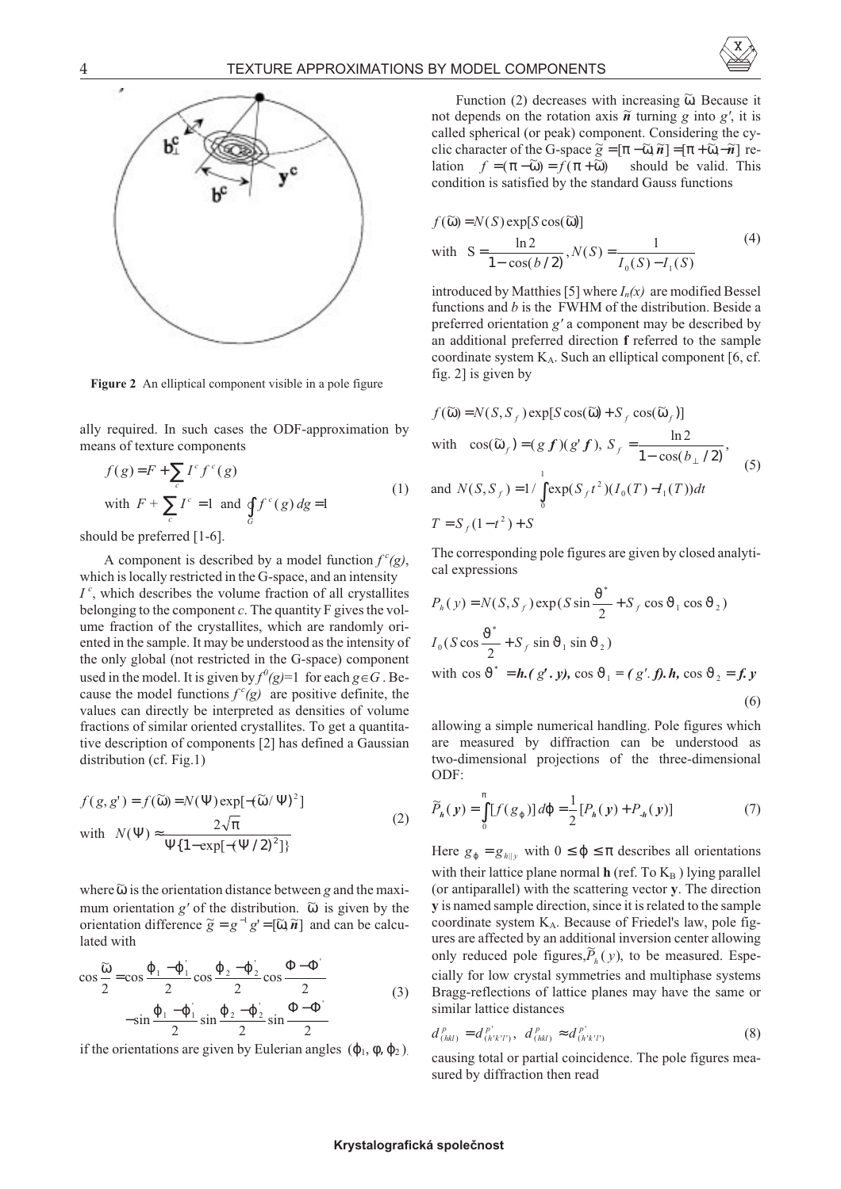



**Figure 2** An elliptical component visible in a pole figure

ally required. In such cases the ODF-approximation by means of texture components

$$
f(g) = F + \sum_{c} I^{c} f^{c}(g)
$$
  
with  $F + \sum_{c} I^{c} = 1$  and  $\oint_{G} f^{c}(g) dg = 1$  (1)

should be preferred [1-6].

A component is described by a model function  $f^c(g)$ , which is locally restricted in the G-space, and an intensity *I c* , which describes the volume fraction of all crystallites belonging to the component *c*. The quantity F gives the volume fraction of the crystallites, which are randomly oriented in the sample. It may be understood as the intensity of the only global (not restricted in the G-space) component used in the model. It is given by  $f^0(g)=1$  for each  $g \in G$ . Because the model functions  $f^c(g)$  are positive definite, the values can directly be interpreted as densities of volume fractions of similar oriented crystallites. To get a quantitative description of components [2] has defined a Gaussian distribution (cf. Fig.1)

$$
f(g, g') = f(\widetilde{\omega}) = N(\Psi) \exp[-(\widetilde{\omega}/\Psi)^{2}]
$$
  
with 
$$
N(\Psi) \approx \frac{2\sqrt{\pi}}{\Psi\{1 - \exp[-(\Psi/2)^{2}]\}}
$$
 (2)

where  $\widetilde{\omega}$  is the orientation distance between *g* and the maximum orientation  $g'$  of the distribution.  $\tilde{\omega}$  is given by the orientation difference  $\tilde{g} = g^{-1}g' = [\tilde{\omega}, \tilde{n}]$  and can be calculated with

$$
\cos\frac{\widetilde{\omega}}{2} = \cos\frac{\varphi_1 - \varphi_1}{2} \cos\frac{\varphi_2 - \varphi_2}{2} \cos\frac{\Phi - \Phi_2}{2}
$$
  

$$
-\sin\frac{\varphi_1 - \varphi_1}{2} \sin\frac{\varphi_2 - \varphi_2}{2} \sin\frac{\Phi - \Phi_2}{2}
$$
 (3)

if the orientations are given by Eulerian angles  $(\varphi_1, \varphi, \varphi_2)$ .

Function (2) decreases with increasing  $\widetilde{\omega}$ . Because it not depends on the rotation axis  $\tilde{n}$  turning *g* into *g'*, it is called spherical (or peak) component. Considering the cyclic character of the G-space  $\tilde{g} = [\pi - \tilde{\omega}, \tilde{n}] = [\pi + \tilde{\omega}, -\tilde{n}]$  relation  $f = (\pi - \widetilde{\omega}) = f(\pi + \widetilde{\omega})$  should be valid. This condition is satisfied by the standard Gauss functions

$$
f(\widetilde{\omega}) = N(S) \exp[S \cos(\widetilde{\omega})]
$$
  
with 
$$
S = \frac{\ln 2}{1 - \cos(b/2)}, N(S) = \frac{1}{I_0(S) - I_1(S)}
$$
(4)

introduced by Matthies [5] where  $I_n(x)$  are modified Bessel functions and *b* is the FWHM of the distribution. Beside a preferred orientation *g'* a component may be described by an additional preferred direction **f** referred to the sample coordinate system  $K_A$ . Such an elliptical component [6, cf. fig. 2] is given by

$$
f(\widetilde{\omega}) = N(S, S_f) \exp[S \cos(\widetilde{\omega}) + S_f \cos(\widetilde{\omega}_f)]
$$
  
with  $\cos(\widetilde{\omega}_f) = (g f)(g' f), S_f = \frac{\ln 2}{1 - \cos(b_\perp / 2)},$   
and  $N(S, S_f) = 1/\int_0^1 \exp(S_f t^2) (I_0(T) - I_1(T)) dt$   
 $T = S_f (1 - t^2) + S$  (5)

The corresponding pole figures are given by closed analytical expressions

 $\sim$ \*

$$
P_h(y) = N(S, S_f) \exp(S \sin \frac{\vartheta^*}{2} + S_f \cos \vartheta_1 \cos \vartheta_2)
$$
  
\n
$$
I_0(S \cos \frac{\vartheta^*}{2} + S_f \sin \vartheta_1 \sin \vartheta_2)
$$
  
\nwith  $\cos \vartheta^* = h(g', y)$ ,  $\cos \vartheta_1 = (g', f)$ ,  $h$ ,  $\cos \vartheta_2 = f, y$   
\n(6)

allowing a simple numerical handling. Pole figures which are measured by diffraction can be understood as two-dimensional projections of the three-dimensional ODF:

$$
\widetilde{P}_h(\mathbf{y}) = \int_0^{\pi} [f(g_{\varphi})] d\varphi = \frac{1}{2} [P_h(\mathbf{y}) + P_h(\mathbf{y})]
$$
(7)

Here  $g_{\varphi} = g_{h||y}$  with  $0 \le \varphi \le \pi$  describes all orientations with their lattice plane normal  $h$  (ref. To  $K_B$ ) lying parallel (or antiparallel) with the scattering vector **y**. The direction **y** is named sample direction, since it is related to the sample coordinate system  $K_A$ . Because of Friedel's law, pole figures are affected by an additional inversion center allowing only reduced pole figures, $\widetilde{P}_h(y)$ , to be measured. Especially for low crystal symmetries and multiphase systems Bragg-reflections of lattice planes may have the same or similar lattice distances

$$
d_{(hkl)}^p = d_{(h'k'l')}^{p'} , \ d_{(hkl)}^p \approx d_{(h'k'l')}^{p'} \tag{8}
$$

causing total or partial coincidence. The pole figures measured by diffraction then read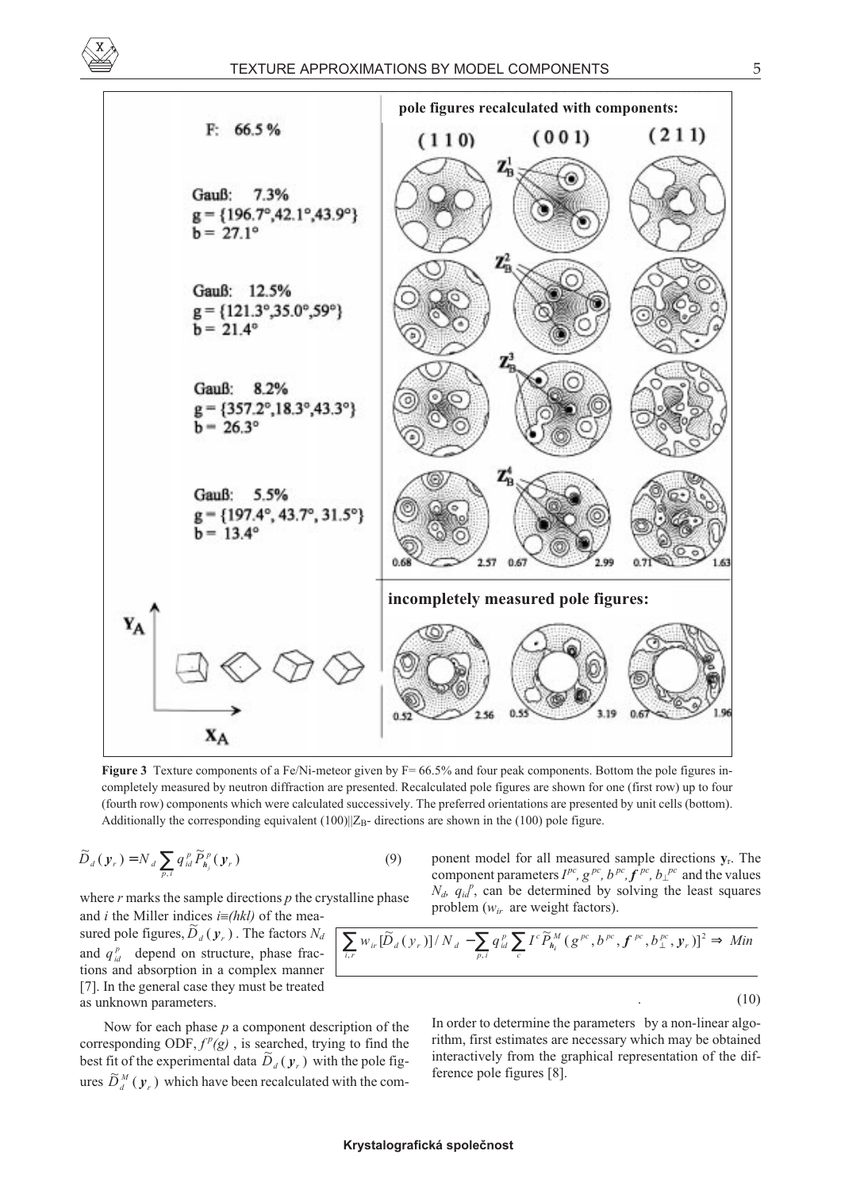



**Figure 3** Texture components of a Fe/Ni-meteor given by F= 66.5% and four peak components. Bottom the pole figures incompletely measured by neutron diffraction are presented. Recalculated pole figures are shown for one (first row) up to four (fourth row) components which were calculated successively. The preferred orientations are presented by unit cells (bottom). Additionally the corresponding equivalent  $(100)||Z_{\text{B}}$ - directions are shown in the (100) pole figure.

$$
\widetilde{D}_d\left(\mathbf{y}_r\right) = N_d \sum_{p,i} q_{id}^p \widetilde{P}_{h_j}^p\left(\mathbf{y}_r\right) \tag{9}
$$

where *r* marks the sample directions *p* the crystalline phase and *i* the Miller indices  $i \equiv (hkl)$  of the mea-

sured pole figures,  $\widetilde{D}_d(\mathbf{y}_r)$ . The factors  $N_d$ and  $q_{id}^p$  depend on structure, phase fractions and absorption in a complex manner [7]. In the general case they must be treated as unknown parameters.

Now for each phase *p* a component description of the corresponding ODF,  $f^p(g)$ , is searched, trying to find the best fit of the experimental data  $\tilde{D}_d(y_r)$  with the pole figures  $\widetilde{D}_d^M(y_r)$  which have been recalculated with the component model for all measured sample directions **y**r. The component parameters  $I^{pc}$ ,  $g^{pc}$ ,  $b^{pc}$ ,  $f^{pc}$ ,  $b_{\perp}^{pc}$  and the values  $N_d$ ,  $q_{id}^P$ , can be determined by solving the least squares problem ( $w_{ir}$  are weight factors).

$$
\sum_{i,r} w_{ir} [\widetilde{D}_d(y_r)]/N_d - \sum_{p,i} q_{id}^p \sum_c I^c \widetilde{P}_{h_i}^M(g^{pc}, b^{pc}, f^{pc}, b_{\perp}^{pc}, y_r)]^2 \Rightarrow Min
$$

 $(10)$ 

In order to determine the parameters by a non-linear algorithm, first estimates are necessary which may be obtained interactively from the graphical representation of the difference pole figures [8].

#### **Krystalografická spoleènost**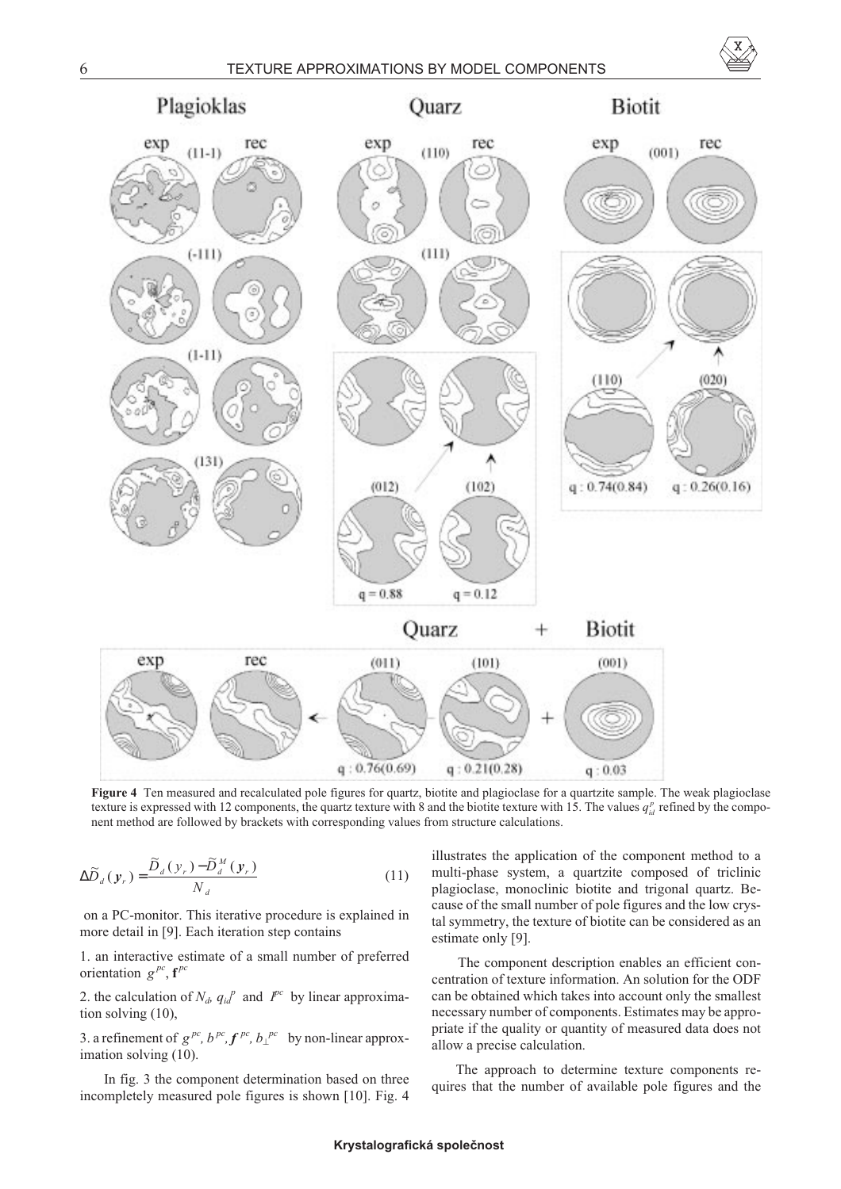



**Figure 4** Ten measured and recalculated pole figures for quartz, biotite and plagioclase for a quartzite sample. The weak plagioclase texture is expressed with 12 components, the quartz texture with 8 and the biotite texture with 15. The values  $q_{id}^p$  refined by the component method are followed by brackets with corresponding values from structure calculations.

$$
\Delta \widetilde{D}_d(\mathbf{y}_r) = \frac{\widetilde{D}_d(\mathbf{y}_r) - \widetilde{D}_d^M(\mathbf{y}_r)}{N_d} \tag{11}
$$

on a PC-monitor. This iterative procedure is explained in more detail in [9]. Each iteration step contains

1. an interactive estimate of a small number of preferred orientation  $g^{pc}$ ,  $f^{pc}$ 

2. the calculation of  $N_d$ ,  $q_d^{\beta}$  and  $I^{pc}$  by linear approximation solving (10),

3. a refinement of  $g^{pc}$ ,  $b^{pc}$ ,  $f^{pc}$ ,  $b<sub>per</sub><sup>pc</sup>$  by non-linear approximation solving (10).

In fig. 3 the component determination based on three incompletely measured pole figures is shown [10]. Fig. 4 illustrates the application of the component method to a multi-phase system, a quartzite composed of triclinic plagioclase, monoclinic biotite and trigonal quartz. Because of the small number of pole figures and the low crystal symmetry, the texture of biotite can be considered as an estimate only [9].

The component description enables an efficient concentration of texture information. An solution for the ODF can be obtained which takes into account only the smallest necessary number of components. Estimates may be appropriate if the quality or quantity of measured data does not allow a precise calculation.

The approach to determine texture components requires that the number of available pole figures and the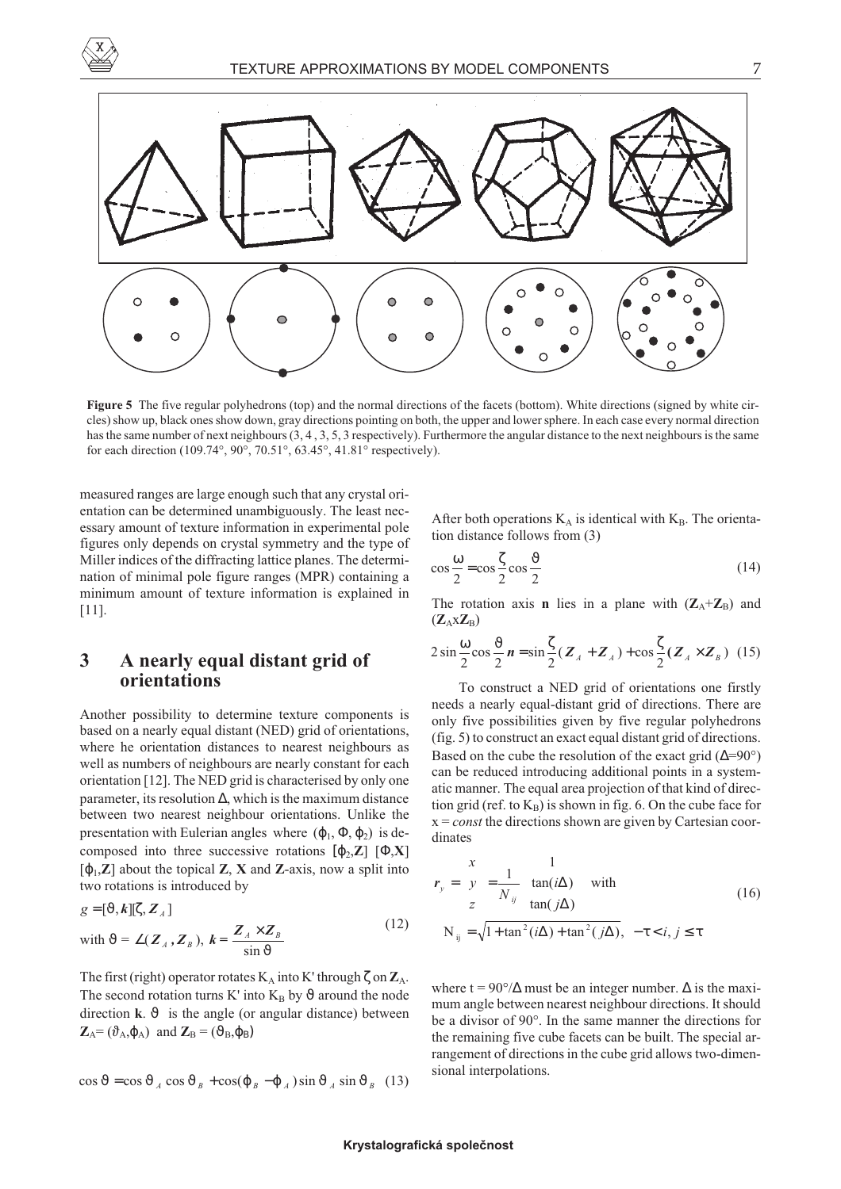

**Figure 5** The five regular polyhedrons (top) and the normal directions of the facets (bottom). White directions (signed by white circles) show up, black ones show down, gray directions pointing on both, the upper and lower sphere. In each case every normal direction has the same number of next neighbours  $(3, 4, 3, 5, 3$  respectively). Furthermore the angular distance to the next neighbours is the same for each direction (109.74°, 90°, 70.51°, 63.45°, 41.81° respectively).

measured ranges are large enough such that any crystal orientation can be determined unambiguously. The least necessary amount of texture information in experimental pole figures only depends on crystal symmetry and the type of Miller indices of the diffracting lattice planes. The determination of minimal pole figure ranges (MPR) containing a minimum amount of texture information is explained in [11].

## **3 A nearly equal distant grid of orientations**

Another possibility to determine texture components is based on a nearly equal distant (NED) grid of orientations, where he orientation distances to nearest neighbours as well as numbers of neighbours are nearly constant for each orientation [12]. The NED grid is characterised by only one parameter, its resolution ∆, which is the maximum distance between two nearest neighbour orientations. Unlike the presentation with Eulerian angles where  $(\varphi_1, \Phi, \varphi_2)$  is decomposed into three successive rotations  $[\phi_2, \mathbf{Z}]$   $[\Phi, \mathbf{X}]$  $[\varphi_1, \mathbb{Z}]$  about the topical **Z**, **X** and **Z**-axis, now a split into two rotations is introduced by

$$
g = [\vartheta, k][\zeta, Z_A]
$$
  
with  $\vartheta = \angle(Z_A, Z_B)$ ,  $k = \frac{Z_A \times Z_B}{\sin \vartheta}$  (12)

The first (right) operator rotates  $K_A$  into K' through  $\zeta$  on  $\mathbb{Z}_A$ . The second rotation turns K' into  $K_B$  by  $\vartheta$  around the node direction **k**.  $\vartheta$  is the angle (or angular distance) between  $\mathbf{Z}_{\text{A}} = (\vartheta_{\text{A}}, \varphi_{\text{A}})$  and  $\mathbf{Z}_{\text{B}} = (\vartheta_{\text{B}}, \varphi_{\text{B}})$ 

$$
\cos \vartheta = \cos \vartheta_A \cos \vartheta_B + \cos(\varphi_B - \varphi_A) \sin \vartheta_A \sin \vartheta_B
$$
 (13)

After both operations  $K_A$  is identical with  $K_B$ . The orientation distance follows from (3)

$$
\cos\frac{\omega}{2} = \cos\frac{\zeta}{2}\cos\frac{\vartheta}{2}
$$
 (14)

The rotation axis **n** lies in a plane with  $(Z_A + Z_B)$  and  $(Z_A X Z_B)$ 

$$
2\sin\frac{\omega}{2}\cos\frac{\vartheta}{2}\,n = \sin\frac{\zeta}{2}(\,Z_{A} + Z_{A}\,)+ \cos\frac{\zeta}{2}(\,Z_{A} \times Z_{B}\,)\tag{15}
$$

To construct a NED grid of orientations one firstly needs a nearly equal-distant grid of directions. There are only five possibilities given by five regular polyhedrons (fig. 5) to construct an exact equal distant grid of directions. Based on the cube the resolution of the exact grid  $(\Delta=90^{\circ})$ can be reduced introducing additional points in a systematic manner. The equal area projection of that kind of direction grid (ref. to  $K_B$ ) is shown in fig. 6. On the cube face for x = *const* the directions shown are given by Cartesian coordinates

$$
\mathbf{r}_{y} = \begin{pmatrix} x \\ y \\ z \end{pmatrix} = \frac{1}{N_{ij}} \begin{pmatrix} 1 \\ \tan(i\Delta) \\ \tan(j\Delta) \end{pmatrix} \text{ with}
$$
\n
$$
N_{ij} = \sqrt{1 + \tan^{2}(i\Delta) + \tan^{2}(j\Delta)}, \ -\tau < i, j \leq \tau
$$
\n(16)

where t =  $90^{\circ}/\Delta$  must be an integer number.  $\Delta$  is the maximum angle between nearest neighbour directions. It should be a divisor of 90°. In the same manner the directions for the remaining five cube facets can be built. The special arrangement of directions in the cube grid allows two-dimensional interpolations.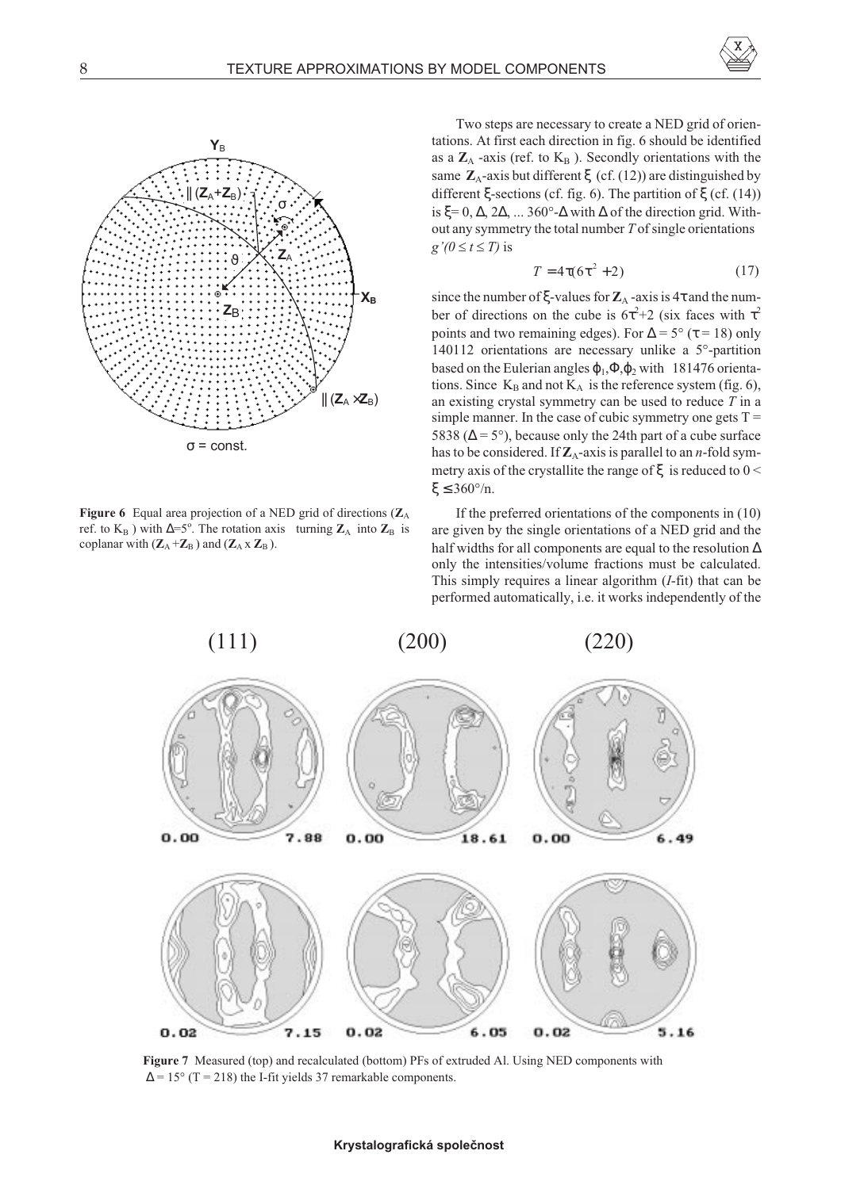



**Figure 6** Equal area projection of a NED grid of directions (**Z**<sup>A</sup> ref. to  $K_B$ ) with  $\Delta = 5^\circ$ . The rotation axis turning  $\mathbb{Z}_A$  into  $\mathbb{Z}_B$  is coplanar with  $(Z_A + Z_B)$  and  $(Z_A \times Z_B)$ .

Two steps are necessary to create a NED grid of orientations. At first each direction in fig. 6 should be identified as a  $\mathbb{Z}_A$  -axis (ref. to  $K_B$ ). Secondly orientations with the same **Z**A-axis but different ξ (cf. (12)) are distinguished by different ξ-sections (cf. fig. 6). The partition of ξ (cf.  $(14)$ ) is  $\xi = 0, \Delta, 2\Delta, \ldots 360^{\circ}$ - $\Delta$  with  $\Delta$  of the direction grid. Without any symmetry the total number *T* of single orientations  $g'(0 \le t \le T)$  is

$$
T = 4\tau(6\tau^2 + 2) \tag{17}
$$

since the number of  $\xi$ -values for  $\mathbb{Z}_A$ -axis is  $4\tau$  and the number of directions on the cube is  $6\tau^2+2$  (six faces with  $\tau^2$ ) points and two remaining edges). For  $\Delta = 5^{\circ}$  ( $\tau = 18$ ) only 140112 orientations are necessary unlike a 5°-partition based on the Eulerian angles  $\varphi_1$ , $\varphi_2$  with 181476 orientations. Since  $K_B$  and not  $K_A$  is the reference system (fig. 6), an existing crystal symmetry can be used to reduce *T* in a simple manner. In the case of cubic symmetry one gets  $T =$ 5838 ( $\Delta$  = 5°), because only the 24th part of a cube surface has to be considered. If  $\mathbb{Z}_A$ -axis is parallel to an *n*-fold symmetry axis of the crystallite the range of  $\xi$  is reduced to  $0 \le$ ξ  $\leq$  360°/n.

If the preferred orientations of the components in (10) are given by the single orientations of a NED grid and the half widths for all components are equal to the resolution ∆ only the intensities/volume fractions must be calculated. This simply requires a linear algorithm (*I*-fit) that can be performed automatically, i.e. it works independently of the



**Figure 7** Measured (top) and recalculated (bottom) PFs of extruded Al. Using NED components with  $\Delta$  = 15° (T = 218) the I-fit yields 37 remarkable components.

#### **Krystalografická spoleènost**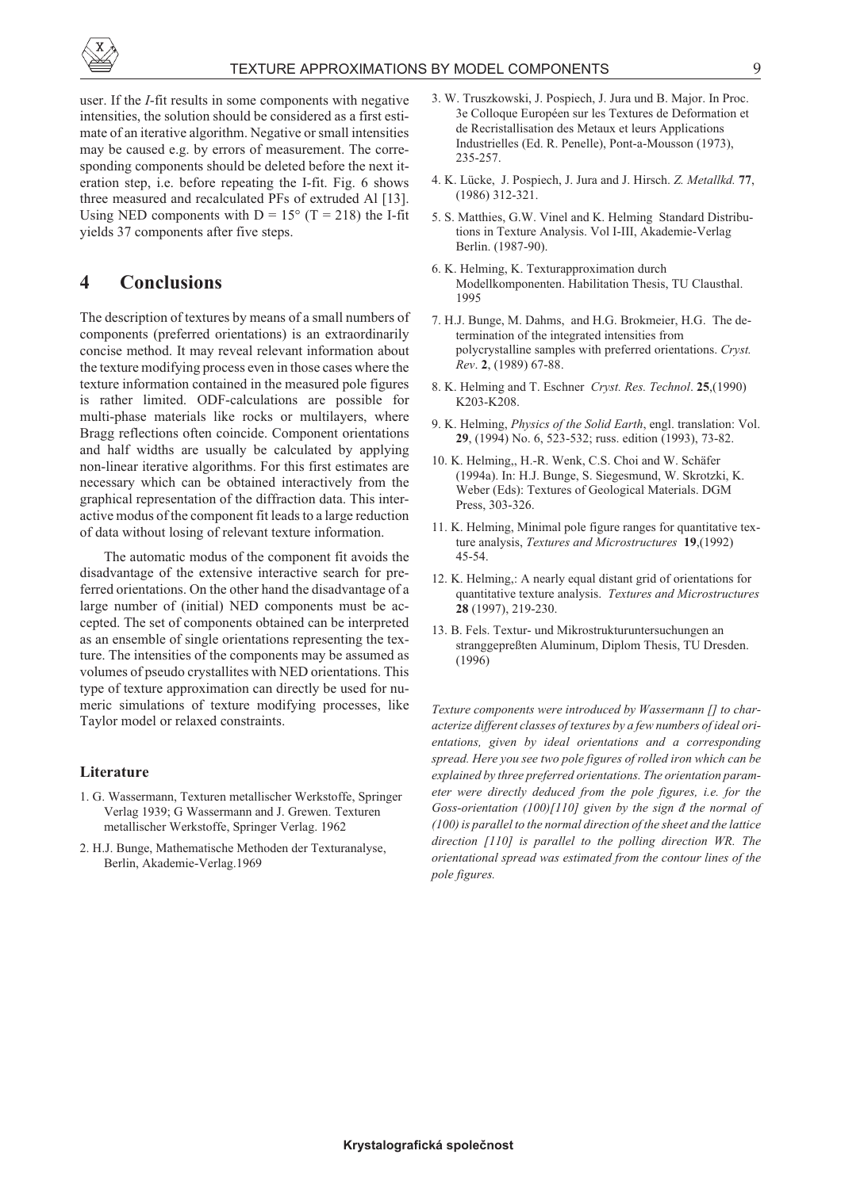

user. If the *I*-fit results in some components with negative intensities, the solution should be considered as a first estimate of an iterative algorithm. Negative or small intensities may be caused e.g. by errors of measurement. The corresponding components should be deleted before the next iteration step, i.e. before repeating the I-fit. Fig. 6 shows three measured and recalculated PFs of extruded Al [13]. Using NED components with  $D = 15^{\circ}$  (T = 218) the I-fit yields 37 components after five steps.

# **4 Conclusions**

The description of textures by means of a small numbers of components (preferred orientations) is an extraordinarily concise method. It may reveal relevant information about the texture modifying process even in those cases where the texture information contained in the measured pole figures is rather limited. ODF-calculations are possible for multi-phase materials like rocks or multilayers, where Bragg reflections often coincide. Component orientations and half widths are usually be calculated by applying non-linear iterative algorithms. For this first estimates are necessary which can be obtained interactively from the graphical representation of the diffraction data. This interactive modus of the component fit leads to a large reduction of data without losing of relevant texture information.

The automatic modus of the component fit avoids the disadvantage of the extensive interactive search for preferred orientations. On the other hand the disadvantage of a large number of (initial) NED components must be accepted. The set of components obtained can be interpreted as an ensemble of single orientations representing the texture. The intensities of the components may be assumed as volumes of pseudo crystallites with NED orientations. This type of texture approximation can directly be used for numeric simulations of texture modifying processes, like Taylor model or relaxed constraints.

#### **Literature**

- 1. G. Wassermann, Texturen metallischer Werkstoffe, Springer Verlag 1939; G Wassermann and J. Grewen. Texturen metallischer Werkstoffe, Springer Verlag. 1962
- 2. H.J. Bunge, Mathematische Methoden der Texturanalyse, Berlin, Akademie-Verlag.1969
- 3. W. Truszkowski, J. Pospiech, J. Jura und B. Major. In Proc. 3e Colloque Européen sur les Textures de Deformation et de Recristallisation des Metaux et leurs Applications Industrielles (Ed. R. Penelle), Pont-a-Mousson (1973), 235-257.
- 4. K. Lücke, J. Pospiech, J. Jura and J. Hirsch. *Z. Metallkd.* **77**, (1986) 312-321.
- 5. S. Matthies, G.W. Vinel and K. Helming Standard Distributions in Texture Analysis. Vol I-III, Akademie-Verlag Berlin. (1987-90).
- 6. K. Helming, K. Texturapproximation durch Modellkomponenten. Habilitation Thesis, TU Clausthal. 1995
- 7. H.J. Bunge, M. Dahms, and H.G. Brokmeier, H.G. The determination of the integrated intensities from polycrystalline samples with preferred orientations. *Cryst. Rev*. **2**, (1989) 67-88.
- 8. K. Helming and T. Eschner *Cryst. Res. Technol*. **25**,(1990) K203-K208.
- 9. K. Helming, *Physics of the Solid Earth*, engl. translation: Vol. **29**, (1994) No. 6, 523-532; russ. edition (1993), 73-82.
- 10. K. Helming,, H.-R. Wenk, C.S. Choi and W. Schäfer (1994a). In: H.J. Bunge, S. Siegesmund, W. Skrotzki, K. Weber (Eds): Textures of Geological Materials. DGM Press, 303-326.
- 11. K. Helming, Minimal pole figure ranges for quantitative texture analysis, *Textures and Microstructures* **19**,(1992) 45-54.
- 12. K. Helming,: A nearly equal distant grid of orientations for quantitative texture analysis. *Textures and Microstructures* **28** (1997), 219-230.
- 13. B. Fels. Textur- und Mikrostrukturuntersuchungen an stranggepreßten Aluminum, Diplom Thesis, TU Dresden. (1996)

*Texture components were introduced by Wassermann [] to characterize different classes of textures by a few numbers of ideal orientations, given by ideal orientations and a corresponding spread. Here you see two pole figures of rolled iron which can be explained by three preferred orientations. The orientation parameter were directly deduced from the pole figures, i.e. for the Goss-orientation (100)[110] given by the sign ð the normal of (100) is parallel to the normal direction of the sheet and the lattice direction [110] is parallel to the polling direction WR. The orientational spread was estimated from the contour lines of the pole figures.*